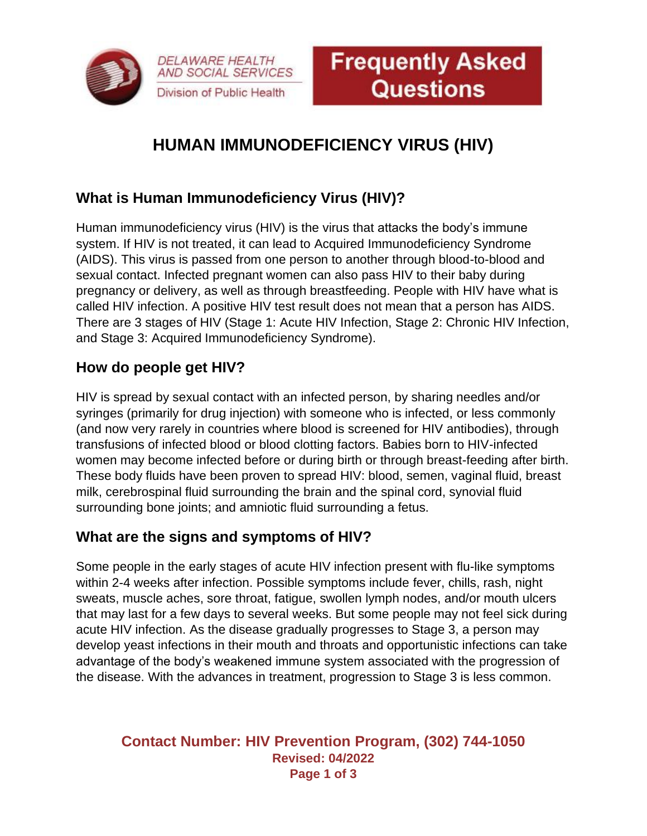

# **HUMAN IMMUNODEFICIENCY VIRUS (HIV)**

# **What is Human Immunodeficiency Virus (HIV)?**

**DELAWARE HEALTH** AND SOCIAL SERVICES

Division of Public Health

Human immunodeficiency virus (HIV) is the virus that attacks the body's immune system. If HIV is not treated, it can lead to Acquired Immunodeficiency Syndrome (AIDS). This virus is passed from one person to another through blood-to-blood and sexual contact. Infected pregnant women can also pass HIV to their baby during pregnancy or delivery, as well as through breastfeeding. People with HIV have what is called HIV infection. A positive HIV test result does not mean that a person has AIDS. There are 3 stages of HIV (Stage 1: Acute HIV Infection, Stage 2: Chronic HIV Infection, and Stage 3: Acquired Immunodeficiency Syndrome).

## **How do people get HIV?**

HIV is spread by sexual contact with an infected person, by sharing needles and/or syringes (primarily for drug injection) with someone who is infected, or less commonly (and now very rarely in countries where blood is screened for HIV antibodies), through transfusions of infected blood or blood clotting factors. Babies born to HIV-infected women may become infected before or during birth or through breast-feeding after birth. These body fluids have been proven to spread HIV: blood, semen, vaginal fluid, breast milk, cerebrospinal fluid surrounding the brain and the spinal cord, synovial fluid surrounding bone joints; and amniotic fluid surrounding a fetus.

#### **What are the signs and symptoms of HIV?**

Some people in the early stages of acute HIV infection present with flu-like symptoms within 2-4 weeks after infection. Possible symptoms include fever, chills, rash, night sweats, muscle aches, sore throat, fatigue, swollen lymph nodes, and/or mouth ulcers that may last for a few days to several weeks. But some people may not feel sick during acute HIV infection. As the disease gradually progresses to Stage 3, a person may develop yeast infections in their mouth and throats and opportunistic infections can take advantage of the body's weakened immune system associated with the progression of the disease. With the advances in treatment, progression to Stage 3 is less common.

#### **Contact Number: HIV Prevention Program, (302) 744-1050 Revised: 04/2022 Page 1 of 3**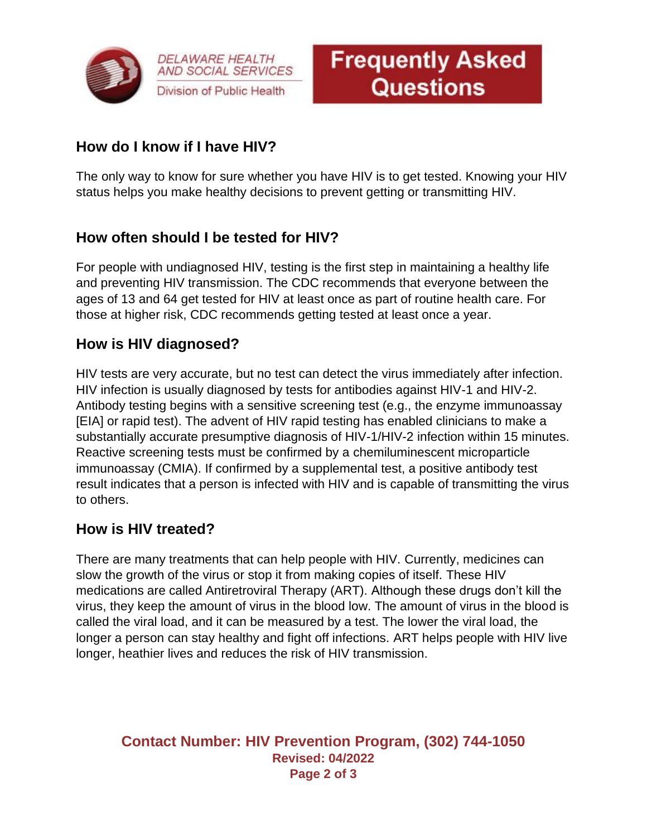

**DELAWARE HEALTH AND SOCIAL SERVICES** Division of Public Health



# **How do I know if I have HIV?**

The only way to know for sure whether you have HIV is to get tested. Knowing your HIV status helps you make healthy decisions to prevent getting or transmitting HIV.

# **How often should I be tested for HIV?**

For people with undiagnosed HIV, testing is the first step in maintaining a healthy life and preventing HIV transmission. The CDC recommends that everyone between the ages of 13 and 64 get tested for HIV at least once as part of routine health care. For those at higher risk, CDC recommends getting tested at least once a year.

# **How is HIV diagnosed?**

HIV tests are very accurate, but no test can detect the virus immediately after infection. HIV infection is usually diagnosed by tests for antibodies against HIV-1 and HIV-2. Antibody testing begins with a sensitive screening test (e.g., the enzyme immunoassay [EIA] or rapid test). The advent of HIV rapid testing has enabled clinicians to make a substantially accurate presumptive diagnosis of HIV-1/HIV-2 infection within 15 minutes. Reactive screening tests must be confirmed by a chemiluminescent microparticle immunoassay (CMIA). If confirmed by a supplemental test, a positive antibody test result indicates that a person is infected with HIV and is capable of transmitting the virus to others.

## **How is HIV treated?**

There are many treatments that can help people with HIV. Currently, medicines can slow the growth of the virus or stop it from making copies of itself. These HIV medications are called Antiretroviral Therapy (ART). Although these drugs don't kill the virus, they keep the amount of virus in the blood low. The amount of virus in the blood is called the viral load, and it can be measured by a test. The lower the viral load, the longer a person can stay healthy and fight off infections. ART helps people with HIV live longer, heathier lives and reduces the risk of HIV transmission.

#### **Contact Number: HIV Prevention Program, (302) 744-1050 Revised: 04/2022 Page 2 of 3**